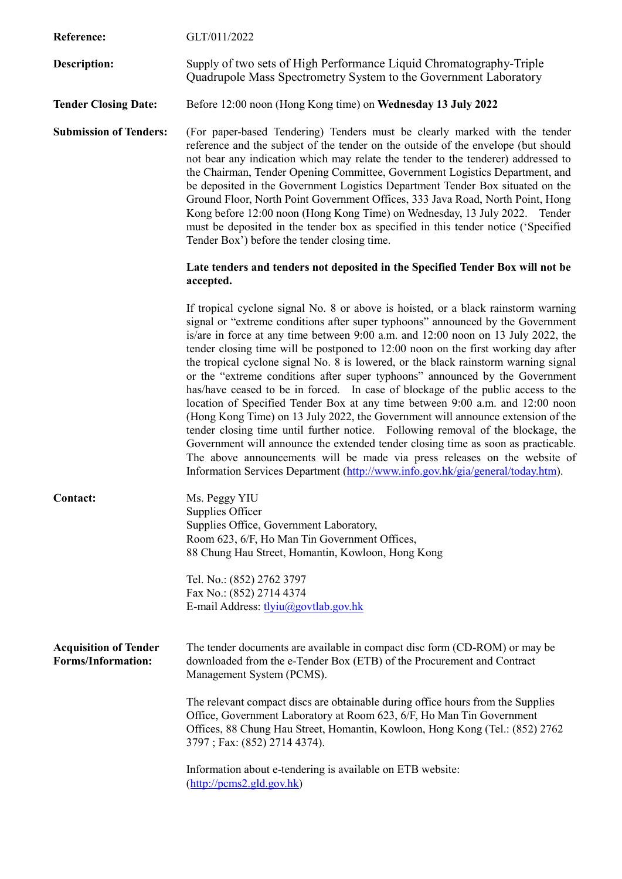| Reference:                                                | GLT/011/2022                                                                                                                                                                                                                                                                                                                                                                                                                                                                                                                                                                                                                                                                                                                                                                                                                                                                                                                                                                                                                                                                                                             |
|-----------------------------------------------------------|--------------------------------------------------------------------------------------------------------------------------------------------------------------------------------------------------------------------------------------------------------------------------------------------------------------------------------------------------------------------------------------------------------------------------------------------------------------------------------------------------------------------------------------------------------------------------------------------------------------------------------------------------------------------------------------------------------------------------------------------------------------------------------------------------------------------------------------------------------------------------------------------------------------------------------------------------------------------------------------------------------------------------------------------------------------------------------------------------------------------------|
| Description:                                              | Supply of two sets of High Performance Liquid Chromatography-Triple<br>Quadrupole Mass Spectrometry System to the Government Laboratory                                                                                                                                                                                                                                                                                                                                                                                                                                                                                                                                                                                                                                                                                                                                                                                                                                                                                                                                                                                  |
| <b>Tender Closing Date:</b>                               | Before 12:00 noon (Hong Kong time) on Wednesday 13 July 2022                                                                                                                                                                                                                                                                                                                                                                                                                                                                                                                                                                                                                                                                                                                                                                                                                                                                                                                                                                                                                                                             |
| <b>Submission of Tenders:</b>                             | (For paper-based Tendering) Tenders must be clearly marked with the tender<br>reference and the subject of the tender on the outside of the envelope (but should<br>not bear any indication which may relate the tender to the tenderer) addressed to<br>the Chairman, Tender Opening Committee, Government Logistics Department, and<br>be deposited in the Government Logistics Department Tender Box situated on the<br>Ground Floor, North Point Government Offices, 333 Java Road, North Point, Hong<br>Kong before 12:00 noon (Hong Kong Time) on Wednesday, 13 July 2022. Tender<br>must be deposited in the tender box as specified in this tender notice ('Specified<br>Tender Box') before the tender closing time.                                                                                                                                                                                                                                                                                                                                                                                            |
|                                                           | Late tenders and tenders not deposited in the Specified Tender Box will not be<br>accepted.                                                                                                                                                                                                                                                                                                                                                                                                                                                                                                                                                                                                                                                                                                                                                                                                                                                                                                                                                                                                                              |
|                                                           | If tropical cyclone signal No. 8 or above is hoisted, or a black rainstorm warning<br>signal or "extreme conditions after super typhoons" announced by the Government<br>is/are in force at any time between 9:00 a.m. and 12:00 noon on 13 July 2022, the<br>tender closing time will be postponed to 12:00 noon on the first working day after<br>the tropical cyclone signal No. 8 is lowered, or the black rainstorm warning signal<br>or the "extreme conditions after super typhoons" announced by the Government<br>has/have ceased to be in forced. In case of blockage of the public access to the<br>location of Specified Tender Box at any time between 9:00 a.m. and 12:00 noon<br>(Hong Kong Time) on 13 July 2022, the Government will announce extension of the<br>tender closing time until further notice. Following removal of the blockage, the<br>Government will announce the extended tender closing time as soon as practicable.<br>The above announcements will be made via press releases on the website of<br>Information Services Department (http://www.info.gov.hk/gia/general/today.htm). |
| Contact:                                                  | Ms. Peggy YIU<br>Supplies Officer<br>Supplies Office, Government Laboratory,<br>Room 623, 6/F, Ho Man Tin Government Offices,<br>88 Chung Hau Street, Homantin, Kowloon, Hong Kong                                                                                                                                                                                                                                                                                                                                                                                                                                                                                                                                                                                                                                                                                                                                                                                                                                                                                                                                       |
|                                                           | Tel. No.: (852) 2762 3797<br>Fax No.: (852) 2714 4374<br>E-mail Address: tlyiu@govtlab.gov.hk                                                                                                                                                                                                                                                                                                                                                                                                                                                                                                                                                                                                                                                                                                                                                                                                                                                                                                                                                                                                                            |
| <b>Acquisition of Tender</b><br><b>Forms/Information:</b> | The tender documents are available in compact disc form (CD-ROM) or may be<br>downloaded from the e-Tender Box (ETB) of the Procurement and Contract<br>Management System (PCMS).                                                                                                                                                                                                                                                                                                                                                                                                                                                                                                                                                                                                                                                                                                                                                                                                                                                                                                                                        |
|                                                           | The relevant compact discs are obtainable during office hours from the Supplies<br>Office, Government Laboratory at Room 623, 6/F, Ho Man Tin Government<br>Offices, 88 Chung Hau Street, Homantin, Kowloon, Hong Kong (Tel.: (852) 2762<br>3797; Fax: (852) 2714 4374).                                                                                                                                                                                                                                                                                                                                                                                                                                                                                                                                                                                                                                                                                                                                                                                                                                                 |
|                                                           | Information about e-tendering is available on ETB website:<br>$(\frac{http://pcms2-gld.gov.hk}{$                                                                                                                                                                                                                                                                                                                                                                                                                                                                                                                                                                                                                                                                                                                                                                                                                                                                                                                                                                                                                         |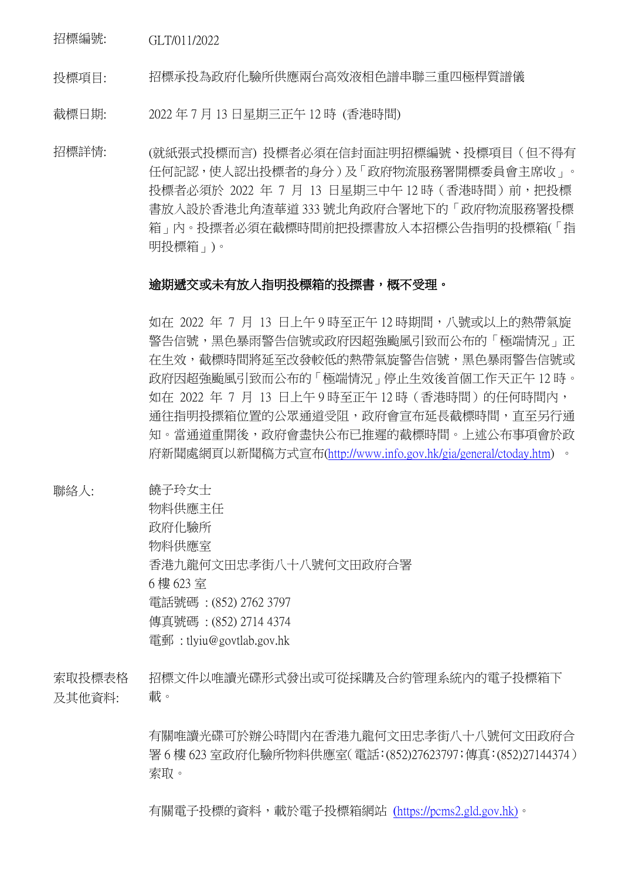招標編號: GLT/011/2022

投標項目: 招標承投為政府化驗所供應兩台高效液相色譜串聯三重四極桿質譜儀

截標日期: 2022 年 7 月 13 日星期三正午 12 時 (香港時間)

招標詳情: (就紙張式投標而言) 投標者必須在信封面註明招標編號、投標項目(但不得有 任何記認,使人認出投標者的身分)及「政府物流服務署開標委員會主席收」。 投標者必須於 2022 年 7 月 13 日星期三中午 12 時 (香港時間)前, 把投標 書放入設於香港北角渣華道 333 號北角政府合署地下的「政府物流服務署投標 箱」內。投摽者必須在截標時間前把投摽書放入本招標公告指明的投標箱(「指 明投標箱」)。

## 逾期遞交或未有放入指明投標箱的投摽書,概不受理。

如在 2022 年 7 月 13 日上午 9 時至正午 12 時期間,八號或以上的熱帶氣旋 警告信號,黑色暴雨警告信號或政府因超強颱風引致而公布的「極端情況」正 在生效,截標時間將延至改發較低的熱帶氣旋警告信號,黑色暴雨警告信號或 政府因超強颱風引致而公布的「極端情況」停止生效後首個工作天正午 12 時。 如在 2022 年 7 月 13 日上午 9 時至正午 12 時(香港時間)的任何時間內, 通往指明投摽箱位置的公眾通道受阻,政府會宣布延長截標時間,直至另行通 知。當通道重開後,政府會盡快公布已推遲的截標時間。上述公布事項會於政 府新聞處網頁以新聞稿方式宣布[\(http://www.info.gov.hk/gia/general/ctoday.htm\)](http://www.info.gov.hk/gia/general/ctoday.htm) 。

聯絡人: 饒子玲女士

物料供應主任 政府化驗所 物料供應室 香港九龍何文田忠孝街八十八號何文田政府合署 6 樓 623 室 電話號碼 : (852) 2762 3797 傳真號碼 : (852) 2714 4374 電郵 : tlyiu@govtlab.gov.hk

索取投標表格 及其他資料: 招標文件以唯讀光碟形式發出或可從採購及合約管理系統內的電子投標箱下 載。

> 有關唯讀光碟可於辦公時間內在香港九龍何文田忠孝街八十八號何文田政府合 署 6 樓 623 室政府化驗所物料供應室(電話:(852)27623797;傳真:(852)27144374) 索取。

有關電子投標的資料,載於電子投標箱網站 (https://pcms2.gld.gov.hk)。